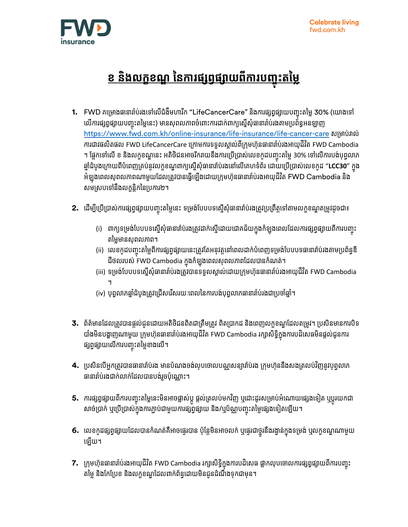

## <u>ខ និងលក្ខខណ្ឌ នៃការផ្សព្វផ្សាយពីការបញ្ចុះតម្លៃ</u> **ច**

- **1.** FWD គម្រោងធានារា៉ប់រងទៅលើជំងឺមហារីក "LifeCancerCare" និងការផ្សព្វផ្សាយបញ្ចុះតម្លៃ 30% (យោងទៅ ច លើការផ្សព្វផ្សាយបញ្ចុះតម្លៃនេះ) មានសុពលភាពចំពោះការដាក់ពាក្យស្នើសុំធានារាប់រងតាមប្រព័ន្ធអនឡាញ ច <https://www.fwd.com.kh/online-insurance/life-insurance/life-cancer-care> សម្រាប់រាល់ ការជាវផលិតផល FWD LifeCancerCare ក្រោមការទទួលស្គាល់ពីក្រុមហ៊ុនធានារាំប់រងអាយុជីវិត FWD Cambodia ។ ផ្អែកទៅលើ ខ និងលក្ខខណ្ឌនេះ អតិថិជនអាចរីករាយនឹងការប្រើប្រាស់លេខកូដបញ្ចុះតម្លៃ 30% ទៅលើការបង់បុព្វលាភ ច ឆ្នាំដំបូងក្រោយពីបំពេញគ្រប់នូវលក្ខខណ្ឌពាក្យស្នើសុំធានារាំប់រងនៅលើគេហទំព័រ ដោយប្រើប្រាស់លេខកូដ "**LCC30**" ក្នុង អំឡុងពេលសុពលភាពណាមួយដែលត្រូវបានធ្វើឡើងដោយក្រុមហ៊ុនធានារ៉ាប់រងអាយុជីវិត FWD Cambodia និង សមស្របទៅនឹងលក្ខន្តិកនៃប្រការ២។
- **2.** ដើម្បីប្រើប្រាស់ការផ្សព្វផ្សាយបញ្ចុះតម្លៃនេះ ទម្រង់បែបបទស្នើសុំធានារាំប់រងត្រូវប្រព្រឹត្តទៅតាមលក្ខខណ្ឌតម្រូវដូចជា៖ ច
	- (i) ពាក្យទម្រង់បែបបទស្នើសុំធានារាំប់រងត្រូវដាក់ស្នើដោយជោគជ័យក្នុងកំឡុងពេលដែលការផ្សព្វផ្សាយពីការបញ្ចុះ ច តម្លៃមានសុពលភាព។
	- (ii) លេខកូដបញ្ចុះតម្លៃពីការផ្សព្វផ្សាយនេះត្រូវតែអនុវត្តនៅពេលដាក់បំពេញទម្រង់បែបបទធានារាំប់រងតាមប្រព័ន្ធឌី ច ជីថលរបស់ FWD Cambodia ក្នុងកំឡុងពេលសុពលភាពដែលបានកំណត់។
	- (iii) ទម្រង់បែបបទស្នើសុំធានារាំប់រងត្រូវបានទទួលស្គាល់ដោយក្រុមហ៊ុនធានារាំប់រងអាយុជីវិត FWD Cambodia ។
	- (iv) បុព្វលាភឆ្នាំដំបូងត្រូវជ្រើសរើសរយៈពេលនៃការបង់បុព្វលាភធានារាំប់រងជាប្រចាំឆ្នាំ។
- **3.** ព័ត៌មានដែលត្រូវបានផ្ដល់ជូនដោយអតិថិជនពិតជាត្រឹមត្រូវ ពិតប្រាកដ និងពេញលក្ខខណ្ឌដែលតម្រូវ។ ប្រសិនមានការបិទ បាំងមិនបង្ហាញណាមួយ ក្រុមហ៊ុនធានារាំប់រងអាយុជីវិត FWD Cambodia រក្សាសិទ្ធិក្នុងការបដិសេធមិនផ្តល់ជូនការ ផ្សព្វផ្សាយលើការបញ្ចុះតម្លៃខាងលើ។ ច
- **4.** ប្រសិនបើអ្នកត្រូវបានធានារ៉ាប់រង មានបំណងចង់លុបចោលបណ្ណសន្យារ៉ាប់រង ក្រុមហ៊ុននឹងសងត្រលប់វិញនូវបុព្វលាភ ធានារា៉ប់រងជាក់លាក់ដែលបានបង់រួចប៉ុណ្ណោះ។
- **5.** ការផ្សព្វផ្សាយពីការបញ្ចុះតម្លៃនេះមិនអាចផ្លាស់ប្តូ ផ្តល់ត្រលប់មកវិញ ឬដោះដូរសម្រាប់អំណោយផ្សេងទៀត ឬប្តូរយកជា ច សាច់ប្រាក់ ឬប្រើប្រាស់ក្នុងការភ្ជាប់ជាមួយការផ្សព្វផ្សាយ និង/ឬប័ណ្ណបញ្ចុះតម្លៃផ្សេងទៀតឡើយ។ ច
- **6.** លេខកូដផ្សព្វផ្សាយដែលបានកំណត់គឺអាចផ្ទេរបាន ប៉ុន្តែមិនអាចលក់ ឬផ្ទេរជាថ្នូរនឹងរង្វាន់ក្នុងទម្រង់ ឬលក្ខខណ្ឌណាមួយ ឡើយ។
- **7.** ក្រុមហ៊ុនធានារាំប់រងអាយុជីវិត FWD Cambodia រក្សាសិទ្ធិក្នុងការបដិសេធ ផ្អាកលុបចោលការផ្សព្វផ្សាយពីការបញ្ចុះ<br> តម្លៃ និងកែប្រែខ និងលក្ខខណ្ឌដែលពាក់ព័ន្ធដោយមិនជូនដំណឹងទុកជាមុន។ ច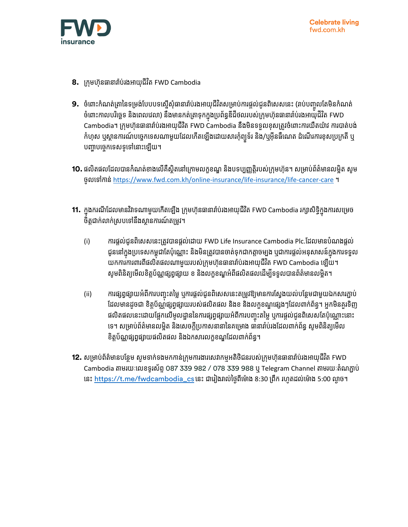

- **8.** ក្រុមហ៊ុនធានារ៉ាប់រងអាយុជីវិត FWD Cambodia
- **9.** ចំពោះកំណត់ត្រានៃទម្រង់បែបបទស្នើសុំធានារា់ប់រងអាយុជីវិតសម្រាប់ការផ្តល់ជូនពិសេសនេះ (រាប់បញ្ចូលតែមិនកំណត់ ចំពោះកាលបរិច្ឆេទ និងពេលវេលា) និងមានកត់ត្រាទុកក្នុងប្រព័ន្ធឌីជីថលរបស់ក្រុមហ៊ុនធានារាំប់រងអាយុជីវិត FWD Cambodia។ ក្រុមហ៊ុនធានារ៉ាប់រងអាយុជីវិត FWD Cambodia នឹងមិនទទួលខុសត្រូវចំពោះការយឺតយ៉ាវ ការបាត់បង់ កំហុស ឬស្ថានការណ៍បច្ចេកទេសណាមួយដែលកើតឡើងដោយសារកុំព្យួទ័រ និង/ឬអ៊ីនធីណេត ដំណើរការខុសប្រក្រតី ឬ បញ្ហាបច្ចេកទេសទូទៅនោះឡើយ។
- **10.** ផលិតផលដែលបានកំំណត់ខាងលើគឺស្ថិតនៅក្រោមលក្ខខណ្ឌ និងបទប្បញ្ញត្តិរបស់ក្រុមហ៊ុន។ សម្រាប់ព័ត៌មានលម្អិត សូម ចូលទៅកាន់ <https://www.fwd.com.kh/online-insurance/life-insurance/life-cancer-care> ។
- **11.** ក្នុងករណីដែលមានវិវាទណាមួយកើតឡើង ក្រុមហ៊ុនធានារា៉ប់រងអាយុជីវិត FWD Cambodia រក្សាសិទ្ធិក្នុងការសម្រេច ចិត្តជាក់លាក់ស្របទៅនឹងស្ថានការណ៍តម្រូវ។
	- (i) ការផ្ដល់ជូនពិសេសនេះត្រូវបានផ្ដល់ដោយ FWD Life Insurance Cambodia Plc.ដែលមានបំណងផ្ដល់ ជូននៅក្នុងប្រទេសកម្ពុជាតែប៉ុណ្ណោះ និងមិនត្រូវបានចាត់ទុកជាកត្តាចម្បង ឬជាការផ្តល់អនុសាសន៍ក្នុងការទទួល យកការការពារពីផលិតផលណាមួយរបស់ក្រុមហ៊ុនធានារ៉ាប់រងអាយុជីវិត FWD Cambodia ឡើយ។ សូមពិនិត្យមើលខិត្តប័ណ្ណផ្សព្វផ្សាយ ខ និងលក្ខខណ្ឌអំពីផលិតផលដើម្បីទទួលបានព័ត៌មានលម្អិត។
	- (ii) ការផ្សព្វផ្សាយអំពីការបញ្ចុះតម្លៃ ឬការផ្តល់ជូនពិសេសនេះតម្រូវឱ្យមានការស្វែងយល់បន្ថែមជាមួយឯកសារភ្ជាប់ ច ដែលមានដូចជា ខិត្តប័ណ្ណផ្សព្វផ្សាយរបស់ផលិតផល និងខ និងលក្ខខណ្ឌផ្សេងៗដែលពាក់ព័ន្ធ។ អ្នកមិនគួរទិញ ផលិតផលនេះដោយផ្អែកលើមូលដ្ឋាននៃការផ្សព្វផ្សាយអំពីការបញ្ចុះតម្លៃ ឬការផ្តល់ជូនពិសេសតែប៉ុណ្ណោះនោះ ច ទេ។ សម្រាប់ព័ត៌មានលម្អិត និងសេចក្ដីប្រកាសនានានៃគម្រោង ធានារាំប់រងដែលពាក់ព័ន្ធ សូមពិនិត្យមើល ខិត្តប័ណ្ណផ្សព្វផ្សាយផលិតផល និងឯកសារលក្កខណ្ឌដែលពាក់ព័ន្ធ។
- **12.** សម្រាប់ព័ត៌មានបន្ថែម សូមទាក់ទងមកកាន់ក្រុមការងារសេវាកម្មអតិថិជនរបស់ក្រុមហ៊ុនធានារ៉ាប់រងអាយុជីវិត FWD Cambodia តាមរយៈលេខទូរស័ព្ទ O87 339 982 / O78 339 988 ឬ Telegram Channel តាមរយៈតំណភ្ជាប់ នេះ [https://t.me/fwdcambodia\\_cs](https://t.me/fwdcambodia_cs) នេះ ជារៀងរាល់ថ្ងៃពីម៉ោង 8:30 ព្រឹក រហូតដល់ម៉ោង 5:00 ល្ងាច។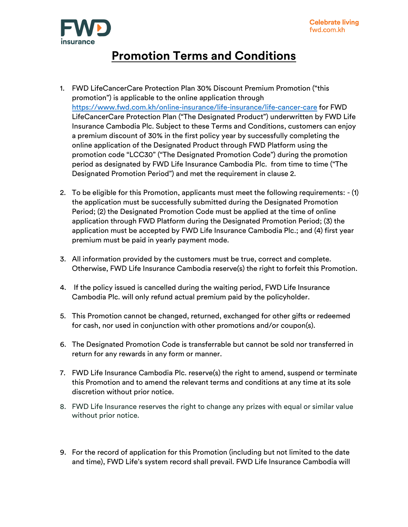

## **Promotion Terms and Conditions**

- 1. FWD LifeCancerCare Protection Plan 30% Discount Premium Promotion ("this promotion") is applicable to the online application through <https://www.fwd.com.kh/online-insurance/life-insurance/life-cancer-care> for FWD LifeCancerCare Protection Plan ("The Designated Product") underwritten by FWD Life Insurance Cambodia Plc. Subject to these Terms and Conditions, customers can enjoy a premium discount of 30% in the first policy year by successfully completing the online application of the Designated Product through FWD Platform using the promotion code "LCC30" ("The Designated Promotion Code") during the promotion period as designated by FWD Life Insurance Cambodia Plc. from time to time ("The Designated Promotion Period") and met the requirement in clause 2.
- 2. To be eligible for this Promotion, applicants must meet the following requirements: (1) the application must be successfully submitted during the Designated Promotion Period; (2) the Designated Promotion Code must be applied at the time of online application through FWD Platform during the Designated Promotion Period; (3) the application must be accepted by FWD Life Insurance Cambodia Plc.; and (4) first year premium must be paid in yearly payment mode.
- 3. All information provided by the customers must be true, correct and complete. Otherwise, FWD Life Insurance Cambodia reserve(s) the right to forfeit this Promotion.
- 4. If the policy issued is cancelled during the waiting period, FWD Life Insurance Cambodia Plc. will only refund actual premium paid by the policyholder.
- 5. This Promotion cannot be changed, returned, exchanged for other gifts or redeemed for cash, nor used in conjunction with other promotions and/or coupon(s).
- 6. The Designated Promotion Code is transferrable but cannot be sold nor transferred in return for any rewards in any form or manner.
- 7. FWD Life Insurance Cambodia Plc. reserve(s) the right to amend, suspend or terminate this Promotion and to amend the relevant terms and conditions at any time at its sole discretion without prior notice.
- 8. FWD Life Insurance reserves the right to change any prizes with equal or similar value without prior notice.
- 9. For the record of application for this Promotion (including but not limited to the date and time), FWD Life's system record shall prevail. FWD Life Insurance Cambodia will